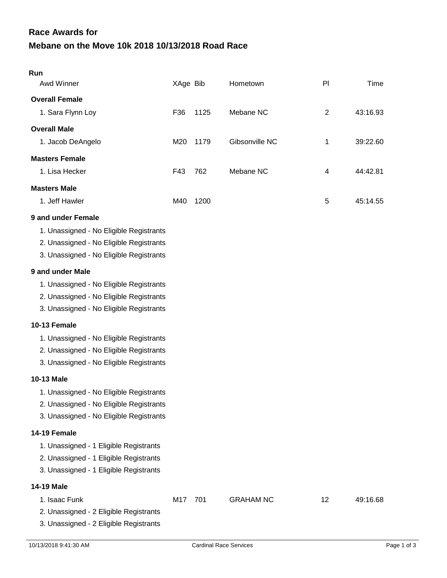## **Mebane on the Move 10k 2018 10/13/2018 Road Race Race Awards for**

| Run                                                                                                                           |          |      |                  |                |          |
|-------------------------------------------------------------------------------------------------------------------------------|----------|------|------------------|----------------|----------|
| Awd Winner                                                                                                                    | XAge Bib |      | Hometown         | PI             | Time     |
| <b>Overall Female</b>                                                                                                         |          |      |                  |                |          |
| 1. Sara Flynn Loy                                                                                                             | F36      | 1125 | Mebane NC        | $\overline{2}$ | 43:16.93 |
| <b>Overall Male</b>                                                                                                           |          |      |                  |                |          |
| 1. Jacob DeAngelo                                                                                                             | M20      | 1179 | Gibsonville NC   | 1              | 39:22.60 |
| <b>Masters Female</b>                                                                                                         |          |      |                  |                |          |
| 1. Lisa Hecker                                                                                                                | F43      | 762  | Mebane NC        | 4              | 44:42.81 |
| <b>Masters Male</b>                                                                                                           |          |      |                  |                |          |
| 1. Jeff Hawler                                                                                                                | M40      | 1200 |                  | 5              | 45:14.55 |
| 9 and under Female                                                                                                            |          |      |                  |                |          |
| 1. Unassigned - No Eligible Registrants<br>2. Unassigned - No Eligible Registrants<br>3. Unassigned - No Eligible Registrants |          |      |                  |                |          |
| 9 and under Male                                                                                                              |          |      |                  |                |          |
| 1. Unassigned - No Eligible Registrants<br>2. Unassigned - No Eligible Registrants<br>3. Unassigned - No Eligible Registrants |          |      |                  |                |          |
| 10-13 Female                                                                                                                  |          |      |                  |                |          |
| 1. Unassigned - No Eligible Registrants<br>2. Unassigned - No Eligible Registrants<br>3. Unassigned - No Eligible Registrants |          |      |                  |                |          |
| <b>10-13 Male</b>                                                                                                             |          |      |                  |                |          |
| 1. Unassigned - No Eligible Registrants<br>2. Unassigned - No Eligible Registrants<br>3. Unassigned - No Eligible Registrants |          |      |                  |                |          |
| 14-19 Female                                                                                                                  |          |      |                  |                |          |
| 1. Unassigned - 1 Eligible Registrants<br>2. Unassigned - 1 Eligible Registrants<br>3. Unassigned - 1 Eligible Registrants    |          |      |                  |                |          |
| 14-19 Male                                                                                                                    |          |      |                  |                |          |
| 1. Isaac Funk<br>2. Unassigned - 2 Eligible Registrants                                                                       | M17 701  |      | <b>GRAHAM NC</b> | 12             | 49:16.68 |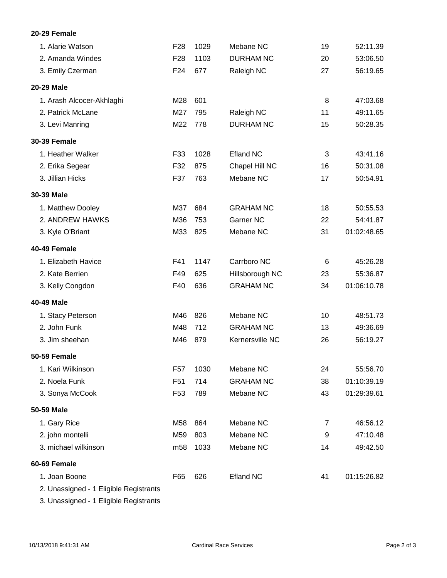## **20-29 Female**

| 1. Alarie Watson                       | F <sub>28</sub> | 1029 | Mebane NC        | 19 | 52:11.39    |
|----------------------------------------|-----------------|------|------------------|----|-------------|
| 2. Amanda Windes                       | F <sub>28</sub> | 1103 | <b>DURHAM NC</b> | 20 | 53:06.50    |
| 3. Emily Czerman                       | F <sub>24</sub> | 677  | Raleigh NC       | 27 | 56:19.65    |
| 20-29 Male                             |                 |      |                  |    |             |
| 1. Arash Alcocer-Akhlaghi              | M28             | 601  |                  | 8  | 47:03.68    |
| 2. Patrick McLane                      | M27             | 795  | Raleigh NC       | 11 | 49:11.65    |
| 3. Levi Manring                        | M22             | 778  | <b>DURHAM NC</b> | 15 | 50:28.35    |
| <b>30-39 Female</b>                    |                 |      |                  |    |             |
| 1. Heather Walker                      | F33             | 1028 | <b>Efland NC</b> | 3  | 43:41.16    |
| 2. Erika Segear                        | F32             | 875  | Chapel Hill NC   | 16 | 50:31.08    |
| 3. Jillian Hicks                       | F37             | 763  | Mebane NC        | 17 | 50:54.91    |
| 30-39 Male                             |                 |      |                  |    |             |
| 1. Matthew Dooley                      | M37             | 684  | <b>GRAHAM NC</b> | 18 | 50:55.53    |
| 2. ANDREW HAWKS                        | M36             | 753  | Garner NC        | 22 | 54:41.87    |
| 3. Kyle O'Briant                       | M33             | 825  | Mebane NC        | 31 | 01:02:48.65 |
| 40-49 Female                           |                 |      |                  |    |             |
| 1. Elizabeth Havice                    | F41             | 1147 | Carrboro NC      | 6  | 45:26.28    |
| 2. Kate Berrien                        | F49             | 625  | Hillsborough NC  | 23 | 55:36.87    |
| 3. Kelly Congdon                       | F40             | 636  | <b>GRAHAM NC</b> | 34 | 01:06:10.78 |
| 40-49 Male                             |                 |      |                  |    |             |
| 1. Stacy Peterson                      | M46             | 826  | Mebane NC        | 10 | 48:51.73    |
| 2. John Funk                           | M48             | 712  | <b>GRAHAM NC</b> | 13 | 49:36.69    |
| 3. Jim sheehan                         | M46             | 879  | Kernersville NC  | 26 | 56:19.27    |
| 50-59 Female                           |                 |      |                  |    |             |
| 1. Kari Wilkinson                      | F <sub>57</sub> | 1030 | Mebane NC        | 24 | 55:56.70    |
| 2. Noela Funk                          | F <sub>51</sub> | 714  | <b>GRAHAM NC</b> | 38 | 01:10:39.19 |
| 3. Sonya McCook                        | F <sub>53</sub> | 789  | Mebane NC        | 43 | 01:29:39.61 |
| 50-59 Male                             |                 |      |                  |    |             |
| 1. Gary Rice                           | M58             | 864  | Mebane NC        | 7  | 46:56.12    |
| 2. john montelli                       | M59             | 803  | Mebane NC        | 9  | 47:10.48    |
| 3. michael wilkinson                   | m <sub>58</sub> | 1033 | Mebane NC        | 14 | 49:42.50    |
| 60-69 Female                           |                 |      |                  |    |             |
| 1. Joan Boone                          | F65             | 626  | <b>Efland NC</b> | 41 | 01:15:26.82 |
| 2. Unassigned - 1 Eligible Registrants |                 |      |                  |    |             |

3. Unassigned - 1 Eligible Registrants